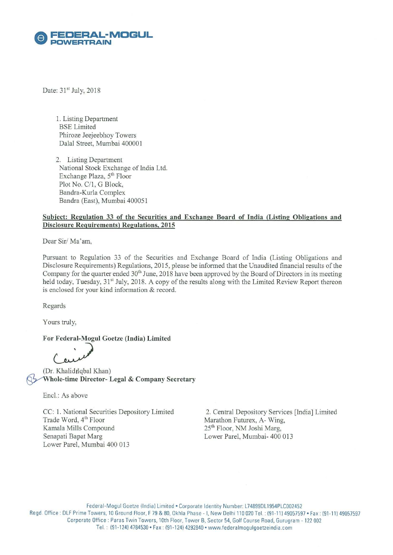

Date: 31<sup>st</sup> July, 2018

1. Listing Department BSE Limited Phiroze <sup>J</sup>eejeebhoy Towers Dalal Street, Mumbai 400001

2. Listing Department National Stock Exchange of India Ltd. Exchange Plaza, 5'h Floor Plot No. C/1, G Block, Bandra—Kurla Complex Bandra (East), Mumbai 40005 I

## Subject: Regulation 33 of the Securities and Exchange Board of India (Listing Obligations and Disclosure Requirements) Regulations. 2015

Dear Sir/ Ma'am,

Pursuant to Regulation <sup>33</sup> of the Securities and Exchange Board of India (Listing Obligations and Disclosure Requirements) Regulations, 2015, please be informed that the Unaudited financial results of the Company for the quarter ended 30<sup>th</sup> June, 2018 have been approved by the Board of Directors in its meeting held today, Tuesday, 31<sup>st</sup> July, 2018. A copy of the results along with the Limited Review Report thereon is enclosed for your kind information & record.

Regards

Yours truly,

For Federal-Mogul Goetze (India) Limited

(Dr. Khalid<sub>IIqbal Khan)</sub> Whole-time Director- Legal & Company Secretary

Encl.: As above

Trade Word, 4<sup>th</sup> Floor Marathon Futurex, A- Wing, Kamala Mills Compound 25<sup>th</sup> Floor, NM Joshi Marg, Kamala Mills Compound<br>
Senapati Bapat Marg<br>
Lower Parel, Mumbai-400 Lower Pare], Mumbai 400 013

CC: 1. National Securities Depository Limited 2. Central Depository Services [India] Limited<br>Trade Word,  $4^{\text{th}}$  Floor Marathon Futurex, A-Wing, Lower Parel, Mumbai- 400 013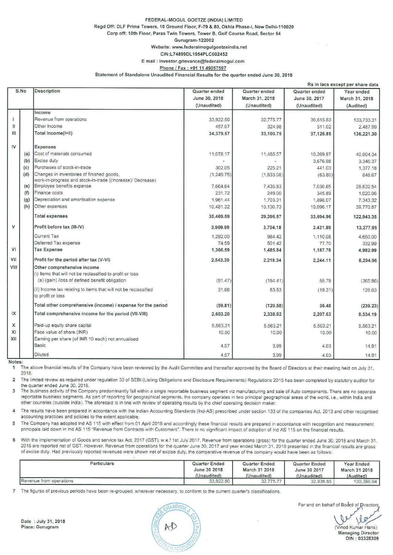#### FEDERAL—MOGUL GOETZE (INDIA) LIMITED Regd Off: DLF Prime Towers, 10 Ground Floor, F-79 & 80, Okhla Phase-l, New Delhi-110020 Corp off: 10th Floor, Paras Twin Towers, Tower B. Golf Course Road, Sector 54 Gurugram-122002 Website: www.federalmogulgoetzeindia.net CIN:L74699DL1954PLC002452 E mail : |nvestor.grievance@federalmogul.com Phone / Fax : +91 11 49057597

Statement of Standalone Unaudited Financial Results for the quarter ended June 30, 2018

|              |      |                                                                                                             |               |                |               | Rs in lacs except per share data |
|--------------|------|-------------------------------------------------------------------------------------------------------------|---------------|----------------|---------------|----------------------------------|
|              | S.No | <b>Description</b>                                                                                          | Quarter ended | Quarter ended  | Quarter ended | Year ended                       |
|              |      |                                                                                                             | June 30, 2018 | March 31, 2018 | June 30, 2017 | March 31, 2018                   |
|              |      |                                                                                                             | (Unaudited)   | (Unaudited)    | (Unaudited)   | (Audited)                        |
|              |      | Income                                                                                                      |               |                |               |                                  |
| П            |      | Revenue from operations                                                                                     | 33,922.50     | 32,775.77      | 36,615.83     | 133.733.31                       |
| $\mathbf{I}$ |      | Other Income                                                                                                | 457.07        | 324.98         | 511.02        | 2.487.99                         |
| Ш            |      | Total Income(I+II)                                                                                          | 34,379.57     | 33,100.75      | 37,126.85     | 136,221.30                       |
| IV           |      | <b>Expenses</b>                                                                                             |               |                |               |                                  |
|              | (a)  | Cost of materials consumed                                                                                  | 11.078.17     | 11.485.57      | 10,269.97     | 40,604.34                        |
|              | (b)  | Excise duty                                                                                                 |               |                | 3.676.98      | 3.346.37                         |
|              | (c)  | Purchases of stock-in-trade                                                                                 | 302.05        | 225.21         | 441.03        | 1.377.18                         |
|              | (d)  | Changes in inventories of finished goods.<br>work-in-progress and stock-in-trade ((Increase)/ Decrease)     | (1, 249.75)   | (1,833.08)     | (63.80)       | 848.67                           |
|              | (e)  | Employee benefits expense                                                                                   | 7.664.64      | 7,435.83       | 7,030.65      | 28,632.54                        |
|              | (f)  | Finance costs                                                                                               | 231.72        | 249.00         | 345.89        | 1,020.06                         |
|              | (g)  | Depreciation and amortisation expense                                                                       | 1,961.44      | 1,703.31       | 1.898.07      | 7.343.32                         |
|              | (h)  | Other expenses                                                                                              | 10,481.32     | 10,130.73      | 10,096.17     | 39,770.87                        |
|              |      | <b>Total expenses</b>                                                                                       | 30,469.59     | 29,396.57      | 33,694.96     | 122,943.35                       |
| $\vee$       |      | Profit before tax (III-IV)                                                                                  | 3,909.98      | 3.704.18       | 3,431.89      | 13,277.95                        |
|              |      | <b>Current Tax</b>                                                                                          | 1,292.00      | 984.42         | 1,110.08      | 4.650.00                         |
|              |      | Deferred Tax expense                                                                                        | 74.59         | 501.42         | 77.70         | 332.99                           |
| VI           |      | <b>Tax Expense</b>                                                                                          | 1,366.59      | 1,485.84       | 1,187.78      | 4,982.99                         |
| VII          |      | Profit for the period after tax (V-VI)                                                                      | 2,543.39      | 2.218.34       | 2,244.11      | 8,294.96                         |
| VIII         |      | Other comprehensive income                                                                                  |               |                |               |                                  |
|              |      | (i) Items that will not be reclassified to profit or loss<br>(a) (gain) /loss of defined benefit obligation |               |                |               |                                  |
|              |      |                                                                                                             | (91.47)       | (184.41)       | 55.79         | (365.86)                         |
|              |      | (ii) Income tax relating to items that will not be reclassified<br>to profit or loss                        | 31.66         | 63.83          | (19.31)       | 126.63                           |
|              |      | Total other comprehensive (income) / expense for the period                                                 | (59.81)       | (120.58)       | 36.48         | (239.23)                         |
| IX           |      | Total comprehensive income for the period (VII-VIII)                                                        | 2,603.20      | 2,338.92       | 2,207.63      | 8,534.19                         |
| X            |      | Paid-up equity share capital                                                                                | 5.563.21      | 5,563.21       | 5,563.21      | 5.563.21                         |
| XI           |      | Face value of share (INR)                                                                                   | 10.00         | 10.00          | 10.00         | 10.00                            |
| XII          |      | Earning per share (of INR 10 each) not annualised                                                           |               |                |               |                                  |
|              |      | <b>Basic</b>                                                                                                | 4.57          | 3.99           | 4.03          | 14.91                            |
| Notes:       |      | Diluted                                                                                                     | 4.57          | 3.99           | 4.03          | 14.91                            |

Notes:

1 The above financial results of the Company have been reviewed by the Audit Committee and thereafter approved by the Board of Directors at their meeting held on July 31, 2018.

2 The limited review as required under regulation 33 of SEBI (Listing Obligations and Disclosure Requirements) Regulations 2015 has been completed by statutory auditor for the quarter ended June 30, 2018,

3 The business activity of the Company predominantly fall within a single reportable business segment viz manufacturing and sale of Auto components. There are no separate reportable business segments As part of reporting for geographical segments, the company operates in two principal geographical areas of the world, i.e., Within India and other countries (outside India). The aforesaid is in line with review of operating results by the chief operating decision maker.

The results have been prepared in accordance With the lndian Accounting Standards (Ind-AS) prescribed under section <sup>133</sup> of the companies Act, 2013 and other recognised accounting practices and policies to the extent applicable.

 $\overline{5}$ The Company has adopted Ind AS 115 with effect from <sup>01</sup> April 2018 and accordingly these financial results are prepared in accordance with recognition and measurement principals laid down in Ind AS 115 "Revenue from Contracts with Customers". There is no significant impact of adoption of Ind AS 115 on the financial results.

With the implementation of Goods and service tax Act, 2017 (GST), w.e.f 1st July 2017, Revenue from operations (gross) for the quarter ended June 30, 2018 and March 31, 6 2018 are reported net of GST. However, Revenue from operations for the quarter June 30, 2017 and year ended March 31. 2018 presented in the financial results are gross of excuse duty. Had previously reported revenues were shown net of excise duty. the comparative revenue of the company would have been as follows:

| Particulars             | <b>Quarter Ended</b> | Quarter Ended | Quarter Ended | Year Ended    |
|-------------------------|----------------------|---------------|---------------|---------------|
|                         | June 30 2018         | March 31 2018 | June 30 2017  | March 31 2018 |
|                         | (Unaudited)          | (Unaudited)   | (Unaudited)   | (Audited)     |
| Revenue from operations | 33.922.50            | 32,775,77     | 32,938.85     | 130,386.94    |

<sup>7</sup> The figures of prevrous periods have been re-grouped, wherever necessary. to conform to the current quarter's classifications.

ANDIO

For and on behalf of Board of Directors

(Vinod Kumar Hans) 86.94 Managing Director DIN : 03328309